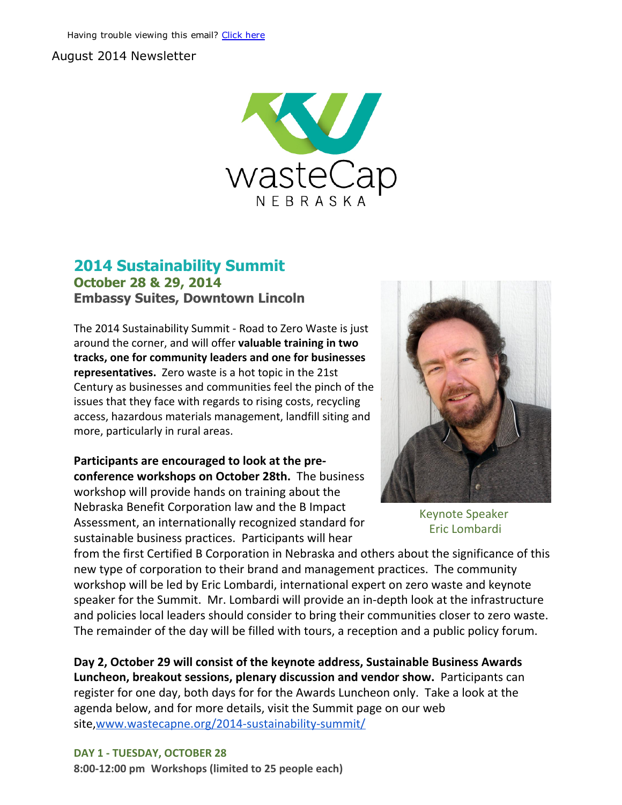#### August 2014 Newsletter



### 2014 Sustainability Summit October 28 & 29, 2014 Embassy Suites, Downtown Lincoln

The 2014 Sustainability Summit ‐ Road to Zero Waste is just around the corner, and will offer valuable training in two tracks, one for community leaders and one for businesses representatives. Zero waste is a hot topic in the 21st Century as businesses and communities feel the pinch of the issues that they face with regards to rising costs, recycling access, hazardous materials management, landfill siting and more, particularly in rural areas.

Participants are encouraged to look at the pre‐ conference workshops on October 28th. The business workshop will provide hands on training about the Nebraska Benefit Corporation law and the B Impact Assessment, an internationally recognized standard for sustainable business practices. Participants will hear



Keynote Speaker Eric Lombardi

from the first Certified B Corporation in Nebraska and others about the significance of this new type of corporation to their brand and management practices. The community workshop will be led by Eric Lombardi, international expert on zero waste and keynote speaker for the Summit. Mr. Lombardi will provide an in‐depth look at the infrastructure and policies local leaders should consider to bring their communities closer to zero waste. The remainder of the day will be filled with tours, a reception and a public policy forum.

Day 2, October 29 will consist of the keynote address, Sustainable Business Awards Luncheon, breakout sessions, plenary discussion and vendor show. Participants can register for one day, both days for for the Awards Luncheon only. Take a look at the agenda below, and for more details, visit the Summit page on our web site,www.wastecapne.org/2014-sustainability-summit/

DAY 1 ‐ TUESDAY, OCTOBER 28 8:00‐12:00 pm Workshops (limited to 25 people each)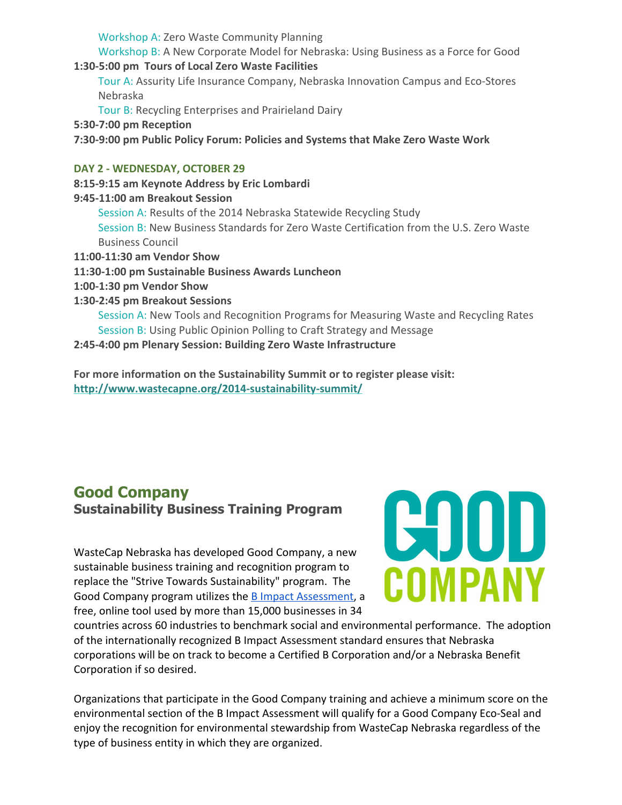Workshop A: Zero Waste Community Planning

Workshop B: A New Corporate Model for Nebraska: Using Business as a Force for Good 1:30‐5:00 pm Tours of Local Zero Waste Facilities

Tour A: Assurity Life Insurance Company, Nebraska Innovation Campus and Eco‐Stores Nebraska

Tour B: Recycling Enterprises and Prairieland Dairy

- 5:30‐7:00 pm Reception
- 7:30‐9:00 pm Public Policy Forum: Policies and Systems that Make Zero Waste Work

#### DAY 2 ‐ WEDNESDAY, OCTOBER 29

### 8:15‐9:15 am Keynote Address by Eric Lombardi

- 9:45‐11:00 am Breakout Session
	- Session A: Results of the 2014 Nebraska Statewide Recycling Study Session B: New Business Standards for Zero Waste Certification from the U.S. Zero Waste Business Council
- 11:00‐11:30 am Vendor Show
- 11:30‐1:00 pm Sustainable Business Awards Luncheon
- 1:00‐1:30 pm Vendor Show
- 1:30‐2:45 pm Breakout Sessions

Session A: New Tools and Recognition Programs for Measuring Waste and Recycling Rates Session B: Using Public Opinion Polling to Craft Strategy and Message

2:45‐4:00 pm Plenary Session: Building Zero Waste Infrastructure

For more information on the Sustainability Summit or to register please visit: [http://www.wastecapne.org/2014‐sustainability‐summit/](http://r20.rs6.net/tn.jsp?e=0013Dxn-0riHTOwyIPh8-iYVMW7iETSQ5zIl33F-P1ReM--Qng5x6OuO9Vt_NgXRuUs-exkPaGyA_5OmCVxi6CgZXFrgzemi-EX6mukdSP5KIYsNDW_CNwCkyKxbe-CtyVFIzjKpRAgn9_JQmFauJgtUA==)

## Good Company Sustainability Business Training Program

WasteCap Nebraska has developed Good Company, a new sustainable business training and recognition program to replace the "Strive Towards Sustainability" program. The Good Company program utilizes the **B** Impact [Assessment,](http://r20.rs6.net/tn.jsp?e=0013Dxn-0riHTOwyIPh8-iYVMW7iETSQ5zIl33F-P1ReM--Qng5x6OuO9Vt_NgXRuUs-exkPaGyA_7q389LHTO_khW8O8MsNjI6rRvhsSHQucIWmtPRs7cE-w==) a free, online tool used by more than 15,000 businesses in 34



countries across 60 industries to benchmark social and environmental performance. The adoption of the internationally recognized B Impact Assessment standard ensures that Nebraska corporations will be on track to become a Certified B Corporation and/or a Nebraska Benefit Corporation if so desired.

Organizations that participate in the Good Company training and achieve a minimum score on the environmental section of the B Impact Assessment will qualify for a Good Company Eco‐Seal and enjoy the recognition for environmental stewardship from WasteCap Nebraska regardless of the type of business entity in which they are organized.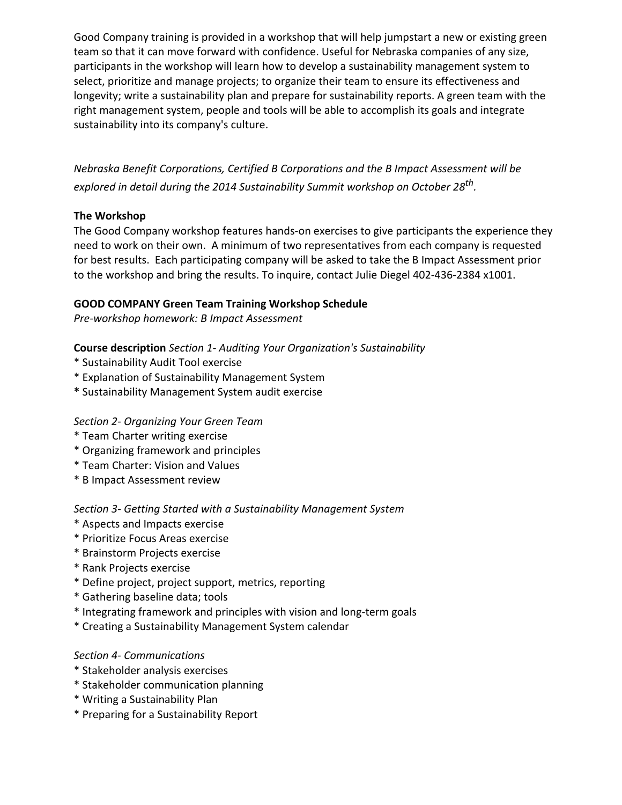Good Company training is provided in a workshop that will help jumpstart a new or existing green team so that it can move forward with confidence. Useful for Nebraska companies of any size, participants in the workshop will learn how to develop a sustainability management system to select, prioritize and manage projects; to organize their team to ensure its effectiveness and longevity; write a sustainability plan and prepare for sustainability reports. A green team with the right management system, people and tools will be able to accomplish its goals and integrate sustainability into its company's culture.

*Nebraska Benefit Corporations, Certified B Corporations and the B Impact Assessment will be explored in detail during the 2014 Sustainability Summit workshop on October 28 th .*

#### The Workshop

The Good Company workshop features hands-on exercises to give participants the experience they need to work on their own. A minimum of two representatives from each company is requested for best results. Each participating company will be asked to take the B Impact Assessment prior to the workshop and bring the results. To inquire, contact Julie Diegel 402‐436‐2384 x1001.

#### GOOD COMPANY Green Team Training Workshop Schedule

*Pre‐workshop homework: B Impact Assessment*

#### Course description *Section 1‐ Auditing Your Organization's Sustainability*

- \* Sustainability Audit Tool exercise
- \* Explanation of Sustainability Management System
- \* Sustainability Management System audit exercise

#### *Section 2‐ Organizing Your Green Team*

- \* Team Charter writing exercise
- \* Organizing framework and principles
- \* Team Charter: Vision and Values
- \* B Impact Assessment review

#### *Section 3‐ Getting Started with a Sustainability Management System*

- \* Aspects and Impacts exercise
- \* Prioritize Focus Areas exercise
- \* Brainstorm Projects exercise
- \* Rank Projects exercise
- \* Define project, project support, metrics, reporting
- \* Gathering baseline data; tools
- \* Integrating framework and principles with vision and long‐term goals
- \* Creating a Sustainability Management System calendar

#### *Section 4‐ Communications*

- \* Stakeholder analysis exercises
- \* Stakeholder communication planning
- \* Writing a Sustainability Plan
- \* Preparing for a Sustainability Report